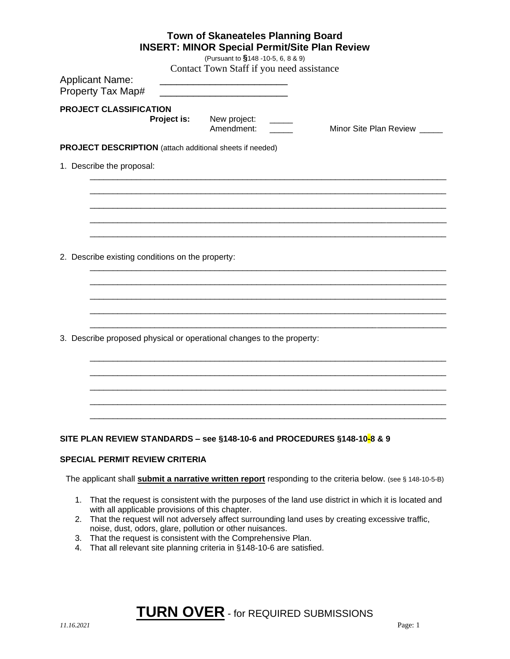| <b>Town of Skaneateles Planning Board</b><br><b>INSERT: MINOR Special Permit/Site Plan Review</b>                 |  |  |  |  |
|-------------------------------------------------------------------------------------------------------------------|--|--|--|--|
| (Pursuant to §148 -10-5, 6, 8 & 9)                                                                                |  |  |  |  |
| Contact Town Staff if you need assistance                                                                         |  |  |  |  |
| <b>Applicant Name:</b><br>Property Tax Map#                                                                       |  |  |  |  |
| PROJECT CLASSIFICATION                                                                                            |  |  |  |  |
| Project is:<br>New project:<br>Amendment:<br>Minor Site Plan Review                                               |  |  |  |  |
| PROJECT DESCRIPTION (attach additional sheets if needed)                                                          |  |  |  |  |
| 1. Describe the proposal:                                                                                         |  |  |  |  |
|                                                                                                                   |  |  |  |  |
|                                                                                                                   |  |  |  |  |
|                                                                                                                   |  |  |  |  |
|                                                                                                                   |  |  |  |  |
| 2. Describe existing conditions on the property:                                                                  |  |  |  |  |
|                                                                                                                   |  |  |  |  |
|                                                                                                                   |  |  |  |  |
|                                                                                                                   |  |  |  |  |
| 3. Describe proposed physical or operational changes to the property:                                             |  |  |  |  |
|                                                                                                                   |  |  |  |  |
|                                                                                                                   |  |  |  |  |
|                                                                                                                   |  |  |  |  |
|                                                                                                                   |  |  |  |  |
| SITE PLAN REVIEW STANDARDS - see §148-10-6 and PROCEDURES §148-10-8 & 9                                           |  |  |  |  |
| <b>SPECIAL PERMIT REVIEW CRITERIA</b>                                                                             |  |  |  |  |
| The applicant shall <b>submit a narrative written report</b> responding to the criteria below. (see § 148-10-5-B) |  |  |  |  |

- 1. That the request is consistent with the purposes of the land use district in which it is located and with all applicable provisions of this chapter.
- 2. That the request will not adversely affect surrounding land uses by creating excessive traffic, noise, dust, odors, glare, pollution or other nuisances.
- 3. That the request is consistent with the Comprehensive Plan.
- 4. That all relevant site planning criteria in §148-10-6 are satisfied.

# **TURN OVER** - for REQUIRED SUBMISSIONS